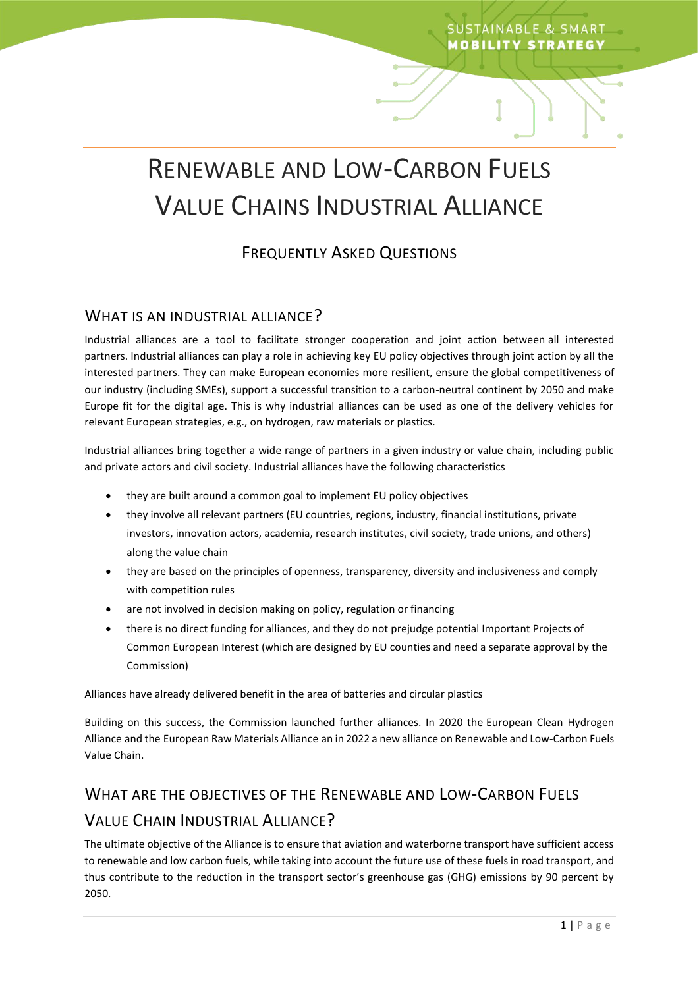# RENEWABLE AND LOW-CARBON FUELS VALUE CHAINS INDUSTRIAL ALLIANCE

**SUSTAINABLE & SMART MOBILITY STRATEGY** 

## FREQUENTLY ASKED QUESTIONS

#### WHAT IS AN INDUSTRIAL ALLIANCE?

Industrial alliances are a tool to facilitate stronger cooperation and joint action between all interested partners. Industrial alliances can play a role in achieving key EU policy objectives through joint action by all the interested partners. They can make European economies more resilient, ensure the global competitiveness of our industry (including SMEs), support a successful transition to a carbon-neutral continent by 2050 and make Europe fit for the digital age. This is why industrial alliances can be used as one of the delivery vehicles for relevant European strategies, e.g., on hydrogen, raw materials or plastics.

Industrial alliances bring together a wide range of partners in a given industry or value chain, including public and private actors and civil society. Industrial alliances have the following characteristics

- they are built around a common goal to implement EU policy objectives
- they involve all relevant partners (EU countries, regions, industry, financial institutions, private investors, innovation actors, academia, research institutes, civil society, trade unions, and others) along the value chain
- they are based on the principles of openness, transparency, diversity and inclusiveness and comply with competition rules
- are not involved in decision making on policy, regulation or financing
- there is no direct funding for alliances, and they do not prejudge potential Important Projects of Common European Interest (which are designed by EU counties and need a separate approval by the Commission)

Alliances have already delivered benefit in the area of batteries and circular plastics

Building on this success, the Commission launched further alliances. In 2020 the European Clean Hydrogen Alliance and the European Raw Materials Alliance an in 2022 a new alliance on Renewable and Low-Carbon Fuels Value Chain.

# WHAT ARE THE OBJECTIVES OF THE RENEWABLE AND LOW-CARBON FUELS VALUE CHAIN INDUSTRIAL ALLIANCE?

The ultimate objective of the Alliance is to ensure that aviation and waterborne transport have sufficient access to renewable and low carbon fuels, while taking into account the future use of these fuels in road transport, and thus contribute to the reduction in the transport sector's greenhouse gas (GHG) emissions by 90 percent by 2050.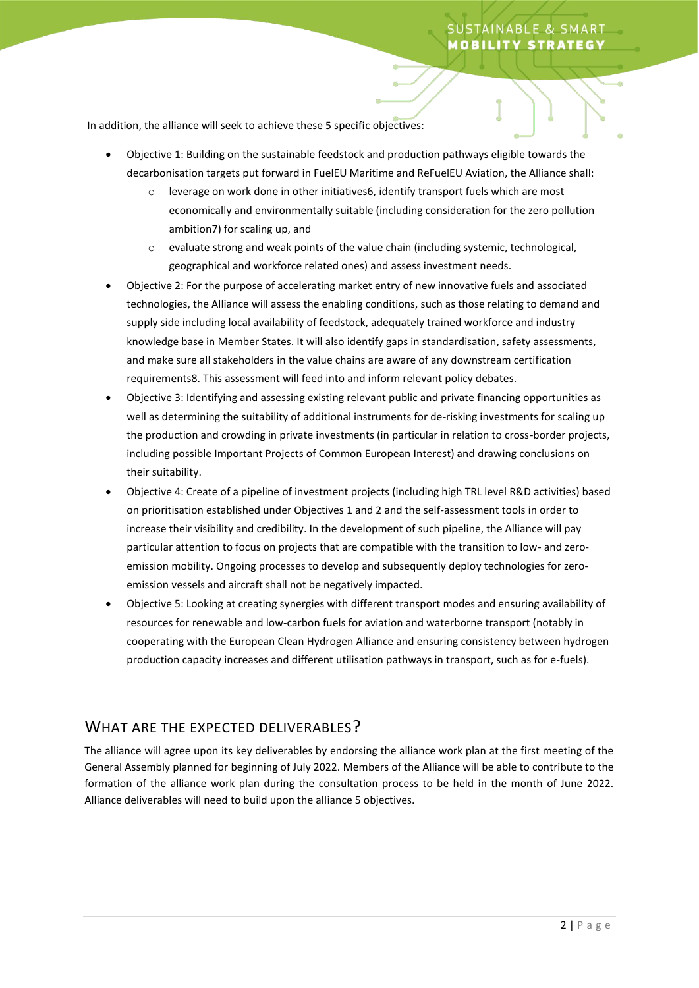In addition, the alliance will seek to achieve these 5 specific objectives:

- Objective 1: Building on the sustainable feedstock and production pathways eligible towards the decarbonisation targets put forward in FuelEU Maritime and ReFuelEU Aviation, the Alliance shall:
	- $\circ$  leverage on work done in other initiatives6, identify transport fuels which are most economically and environmentally suitable (including consideration for the zero pollution ambition7) for scaling up, and
	- o evaluate strong and weak points of the value chain (including systemic, technological, geographical and workforce related ones) and assess investment needs.
- Objective 2: For the purpose of accelerating market entry of new innovative fuels and associated technologies, the Alliance will assess the enabling conditions, such as those relating to demand and supply side including local availability of feedstock, adequately trained workforce and industry knowledge base in Member States. It will also identify gaps in standardisation, safety assessments, and make sure all stakeholders in the value chains are aware of any downstream certification requirements8. This assessment will feed into and inform relevant policy debates.
- Objective 3: Identifying and assessing existing relevant public and private financing opportunities as well as determining the suitability of additional instruments for de-risking investments for scaling up the production and crowding in private investments (in particular in relation to cross-border projects, including possible Important Projects of Common European Interest) and drawing conclusions on their suitability.
- Objective 4: Create of a pipeline of investment projects (including high TRL level R&D activities) based on prioritisation established under Objectives 1 and 2 and the self-assessment tools in order to increase their visibility and credibility. In the development of such pipeline, the Alliance will pay particular attention to focus on projects that are compatible with the transition to low- and zeroemission mobility. Ongoing processes to develop and subsequently deploy technologies for zeroemission vessels and aircraft shall not be negatively impacted.
- Objective 5: Looking at creating synergies with different transport modes and ensuring availability of resources for renewable and low-carbon fuels for aviation and waterborne transport (notably in cooperating with the European Clean Hydrogen Alliance and ensuring consistency between hydrogen production capacity increases and different utilisation pathways in transport, such as for e-fuels).

## WHAT ARE THE EXPECTED DELIVERABLES?

The alliance will agree upon its key deliverables by endorsing the alliance work plan at the first meeting of the General Assembly planned for beginning of July 2022. Members of the Alliance will be able to contribute to the formation of the alliance work plan during the consultation process to be held in the month of June 2022. Alliance deliverables will need to build upon the alliance 5 objectives.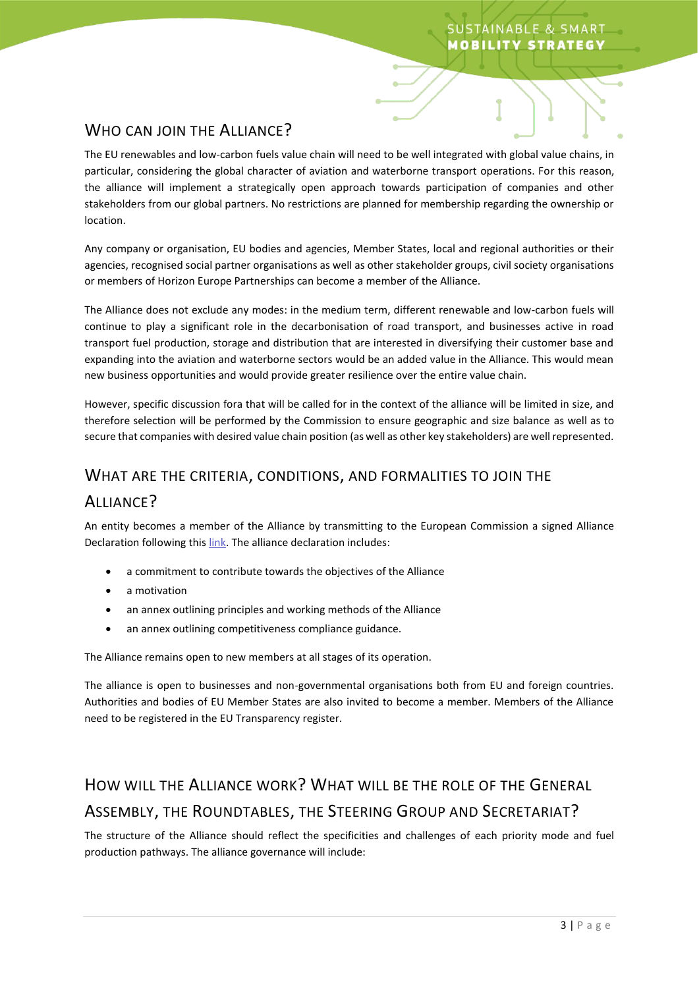## WHO CAN JOIN THE ALLIANCE?

The EU renewables and low-carbon fuels value chain will need to be well integrated with global value chains, in particular, considering the global character of aviation and waterborne transport operations. For this reason, the alliance will implement a strategically open approach towards participation of companies and other stakeholders from our global partners. No restrictions are planned for membership regarding the ownership or location.

Any company or organisation, EU bodies and agencies, Member States, local and regional authorities or their agencies, recognised social partner organisations as well as other stakeholder groups, civil society organisations or members of Horizon Europe Partnerships can become a member of the Alliance.

The Alliance does not exclude any modes: in the medium term, different renewable and low-carbon fuels will continue to play a significant role in the decarbonisation of road transport, and businesses active in road transport fuel production, storage and distribution that are interested in diversifying their customer base and expanding into the aviation and waterborne sectors would be an added value in the Alliance. This would mean new business opportunities and would provide greater resilience over the entire value chain.

However, specific discussion fora that will be called for in the context of the alliance will be limited in size, and therefore selection will be performed by the Commission to ensure geographic and size balance as well as to secure that companies with desired value chain position (as well as other key stakeholders) are well represented.

## WHAT ARE THE CRITERIA, CONDITIONS, AND FORMALITIES TO JOIN THE

## ALLIANCE?

An entity becomes a member of the Alliance by transmitting to the European Commission a signed Alliance Declaration following this [link.](https://ec.europa.eu/eusurvey/runner/rlcf-alliance-declaration) The alliance declaration includes:

- a commitment to contribute towards the objectives of the Alliance
- a motivation
- an annex outlining principles and working methods of the Alliance
- an annex outlining competitiveness compliance guidance.

The Alliance remains open to new members at all stages of its operation.

The alliance is open to businesses and non-governmental organisations both from EU and foreign countries. Authorities and bodies of EU Member States are also invited to become a member. Members of the Alliance need to be registered in the EU Transparency register.

# HOW WILL THE ALLIANCE WORK? WHAT WILL BE THE ROLE OF THE GENERAL ASSEMBLY, THE ROUNDTABLES, THE STEERING GROUP AND SECRETARIAT?

The structure of the Alliance should reflect the specificities and challenges of each priority mode and fuel production pathways. The alliance governance will include: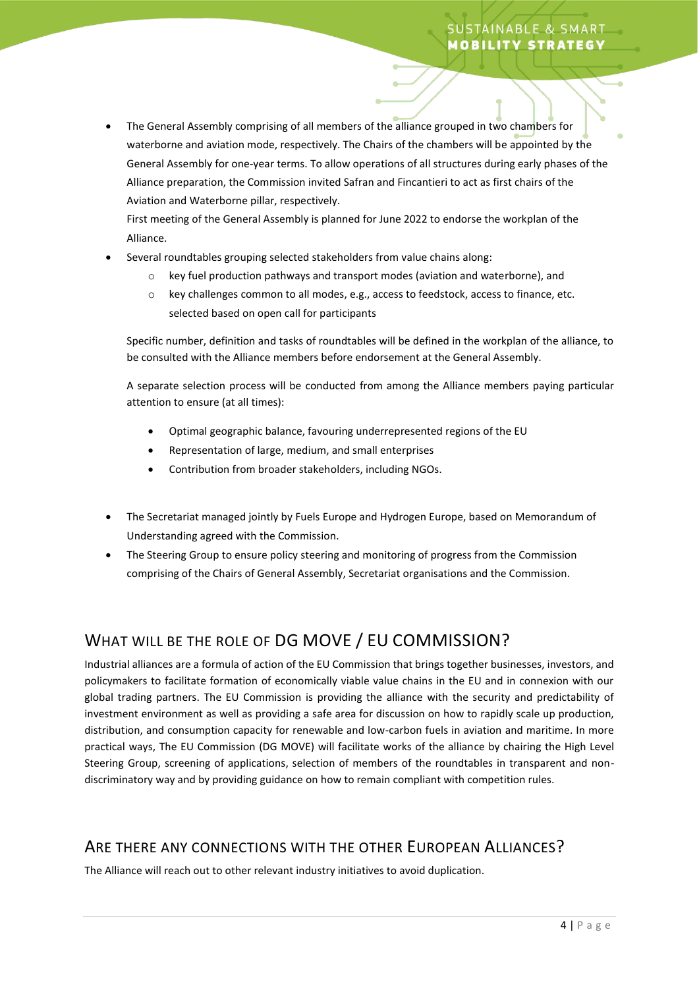## **USTAINABLE & SMART MOBILITY STRATEGY**

• The General Assembly comprising of all members of the alliance grouped in two chambers for waterborne and aviation mode, respectively. The Chairs of the chambers will be appointed by the General Assembly for one-year terms. To allow operations of all structures during early phases of the Alliance preparation, the Commission invited Safran and Fincantieri to act as first chairs of the Aviation and Waterborne pillar, respectively.

First meeting of the General Assembly is planned for June 2022 to endorse the workplan of the Alliance.

- Several roundtables grouping selected stakeholders from value chains along:
	- key fuel production pathways and transport modes (aviation and waterborne), and
	- o key challenges common to all modes, e.g., access to feedstock, access to finance, etc. selected based on open call for participants

Specific number, definition and tasks of roundtables will be defined in the workplan of the alliance, to be consulted with the Alliance members before endorsement at the General Assembly.

A separate selection process will be conducted from among the Alliance members paying particular attention to ensure (at all times):

- Optimal geographic balance, favouring underrepresented regions of the EU
- Representation of large, medium, and small enterprises
- Contribution from broader stakeholders, including NGOs.
- The Secretariat managed jointly by Fuels Europe and Hydrogen Europe, based on Memorandum of Understanding agreed with the Commission.
- The Steering Group to ensure policy steering and monitoring of progress from the Commission comprising of the Chairs of General Assembly, Secretariat organisations and the Commission.

## WHAT WILL BE THE ROLE OF DG MOVE / EU COMMISSION?

Industrial alliances are a formula of action of the EU Commission that brings together businesses, investors, and policymakers to facilitate formation of economically viable value chains in the EU and in connexion with our global trading partners. The EU Commission is providing the alliance with the security and predictability of investment environment as well as providing a safe area for discussion on how to rapidly scale up production, distribution, and consumption capacity for renewable and low-carbon fuels in aviation and maritime. In more practical ways, The EU Commission (DG MOVE) will facilitate works of the alliance by chairing the High Level Steering Group, screening of applications, selection of members of the roundtables in transparent and nondiscriminatory way and by providing guidance on how to remain compliant with competition rules.

## ARE THERE ANY CONNECTIONS WITH THE OTHER EUROPEAN ALLIANCES?

The Alliance will reach out to other relevant industry initiatives to avoid duplication.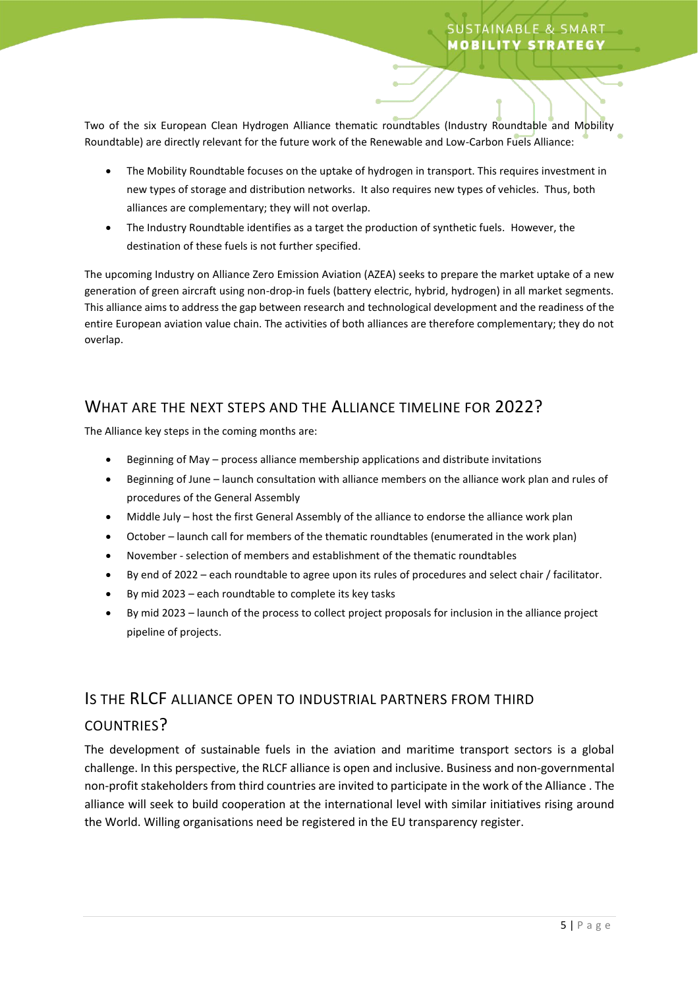Two of the six European Clean Hydrogen Alliance thematic roundtables (Industry Roundtable and Mobility Roundtable) are directly relevant for the future work of the Renewable and Low-Carbon Fuels Alliance:

- The Mobility Roundtable focuses on the uptake of hydrogen in transport. This requires investment in new types of storage and distribution networks. It also requires new types of vehicles. Thus, both alliances are complementary; they will not overlap.
- The Industry Roundtable identifies as a target the production of synthetic fuels. However, the destination of these fuels is not further specified.

The upcoming Industry on Alliance Zero Emission Aviation (AZEA) seeks to prepare the market uptake of a new generation of green aircraft using non-drop-in fuels (battery electric, hybrid, hydrogen) in all market segments. This alliance aims to address the gap between research and technological development and the readiness of the entire European aviation value chain. The activities of both alliances are therefore complementary; they do not overlap.

## WHAT ARE THE NEXT STEPS AND THE ALLIANCE TIMELINE FOR 2022?

The Alliance key steps in the coming months are:

- Beginning of May process alliance membership applications and distribute invitations
- Beginning of June launch consultation with alliance members on the alliance work plan and rules of procedures of the General Assembly
- Middle July host the first General Assembly of the alliance to endorse the alliance work plan
- October launch call for members of the thematic roundtables (enumerated in the work plan)
- November selection of members and establishment of the thematic roundtables
- By end of 2022 each roundtable to agree upon its rules of procedures and select chair / facilitator.
- By mid 2023 each roundtable to complete its key tasks
- By mid 2023 launch of the process to collect project proposals for inclusion in the alliance project pipeline of projects.

## IS THE RLCF ALLIANCE OPEN TO INDUSTRIAL PARTNERS FROM THIRD

#### COUNTRIES?

The development of sustainable fuels in the aviation and maritime transport sectors is a global challenge. In this perspective, the RLCF alliance is open and inclusive. Business and non-governmental non-profit stakeholders from third countries are invited to participate in the work of the Alliance . The alliance will seek to build cooperation at the international level with similar initiatives rising around the World. Willing organisations need be registered in the EU transparency register.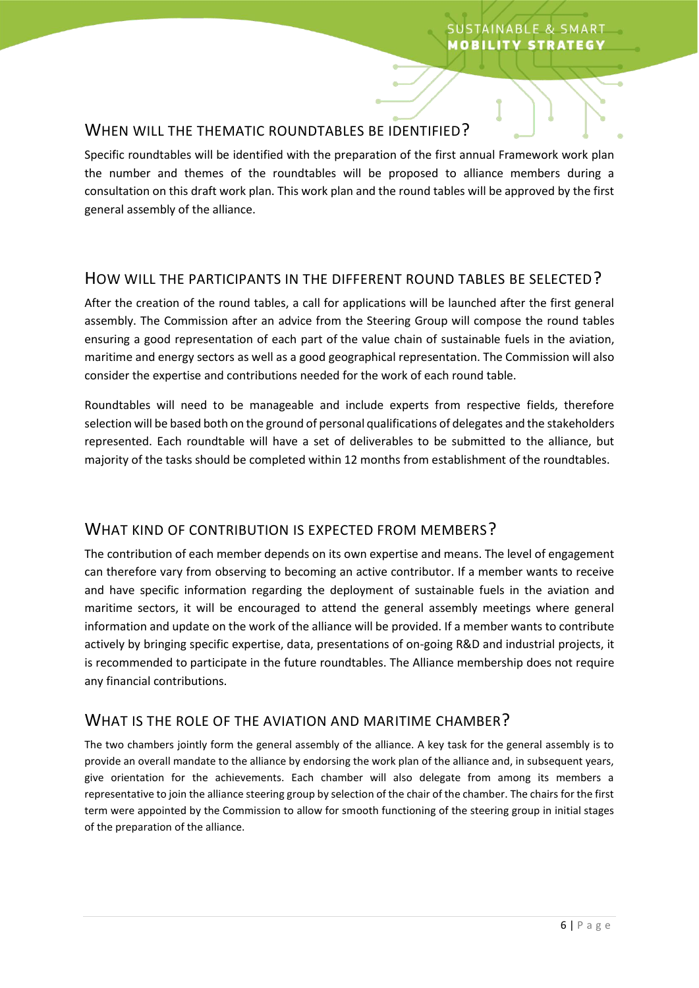#### WHEN WILL THE THEMATIC ROUNDTABLES BE IDENTIFIED?

Specific roundtables will be identified with the preparation of the first annual Framework work plan the number and themes of the roundtables will be proposed to alliance members during a consultation on this draft work plan. This work plan and the round tables will be approved by the first general assembly of the alliance.

## HOW WILL THE PARTICIPANTS IN THE DIFFERENT ROUND TABLES BE SELECTED?

After the creation of the round tables, a call for applications will be launched after the first general assembly. The Commission after an advice from the Steering Group will compose the round tables ensuring a good representation of each part of the value chain of sustainable fuels in the aviation, maritime and energy sectors as well as a good geographical representation. The Commission will also consider the expertise and contributions needed for the work of each round table.

Roundtables will need to be manageable and include experts from respective fields, therefore selection will be based both on the ground of personal qualifications of delegates and the stakeholders represented. Each roundtable will have a set of deliverables to be submitted to the alliance, but majority of the tasks should be completed within 12 months from establishment of the roundtables.

## WHAT KIND OF CONTRIBUTION IS EXPECTED FROM MEMBERS?

The contribution of each member depends on its own expertise and means. The level of engagement can therefore vary from observing to becoming an active contributor. If a member wants to receive and have specific information regarding the deployment of sustainable fuels in the aviation and maritime sectors, it will be encouraged to attend the general assembly meetings where general information and update on the work of the alliance will be provided. If a member wants to contribute actively by bringing specific expertise, data, presentations of on-going R&D and industrial projects, it is recommended to participate in the future roundtables. The Alliance membership does not require any financial contributions.

## WHAT IS THE ROLE OF THE AVIATION AND MARITIME CHAMBER?

The two chambers jointly form the general assembly of the alliance. A key task for the general assembly is to provide an overall mandate to the alliance by endorsing the work plan of the alliance and, in subsequent years, give orientation for the achievements. Each chamber will also delegate from among its members a representative to join the alliance steering group by selection of the chair of the chamber. The chairs for the first term were appointed by the Commission to allow for smooth functioning of the steering group in initial stages of the preparation of the alliance.